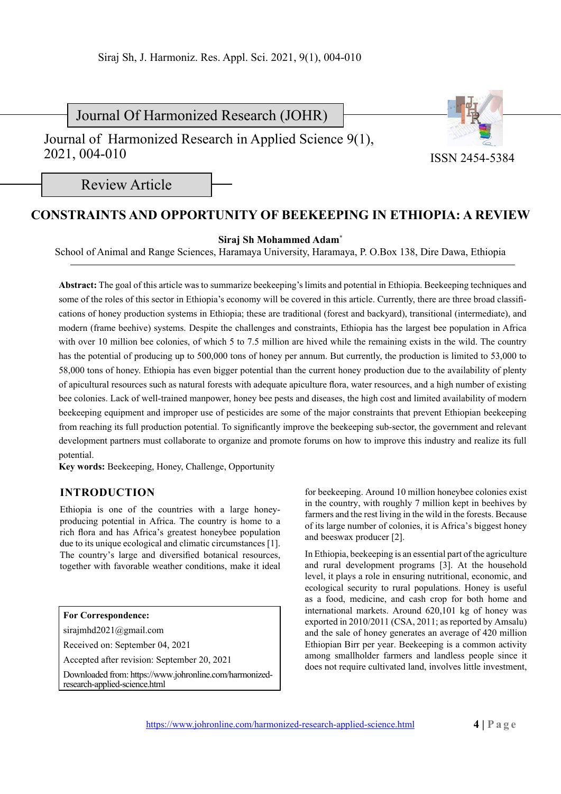Journal Of Harmonized Research (JOHR)

Journal of Harmonized Research in Applied Science 9(1), 2021, 004-010



ISSN 2454-5384

Review Article

# **CONSTRAINTS AND OPPORTUNITY OF BEEKEEPING IN ETHIOPIA: A REVIEW**

**Siraj Sh Mohammed Adam\***

School of Animal and Range Sciences, Haramaya University, Haramaya, P. O.Box 138, Dire Dawa, Ethiopia

**Abstract:** The goal of this article was to summarize beekeeping's limits and potential in Ethiopia. Beekeeping techniques and some of the roles of this sector in Ethiopia's economy will be covered in this article. Currently, there are three broad classifications of honey production systems in Ethiopia; these are traditional (forest and backyard), transitional (intermediate), and modern (frame beehive) systems. Despite the challenges and constraints, Ethiopia has the largest bee population in Africa with over 10 million bee colonies, of which 5 to 7.5 million are hived while the remaining exists in the wild. The country has the potential of producing up to 500,000 tons of honey per annum. But currently, the production is limited to 53,000 to 58,000 tons of honey. Ethiopia has even bigger potential than the current honey production due to the availability of plenty of apicultural resources such as natural forests with adequate apiculture flora, water resources, and a high number of existing bee colonies. Lack of well-trained manpower, honey bee pests and diseases, the high cost and limited availability of modern beekeeping equipment and improper use of pesticides are some of the major constraints that prevent Ethiopian beekeeping from reaching its full production potential. To significantly improve the beekeeping sub-sector, the government and relevant development partners must collaborate to organize and promote forums on how to improve this industry and realize its full potential.

**Key words:** Beekeeping, Honey, Challenge, Opportunity

## **INTRODUCTION**

Ethiopia is one of the countries with a large honeyproducing potential in Africa. The country is home to a rich flora and has Africa's greatest honeybee population due to its unique ecological and climatic circumstances [1]. The country's large and diversified botanical resources, together with favorable weather conditions, make it ideal

#### **For Correspondence:**

sirajmhd2021@gmail.com

Received on: September 04, 2021

Accepted after revision: September 20, 2021

Downloaded from: https://www.johronline.com/harmonizedresearch-applied-science.html

for beekeeping. Around 10 million honeybee colonies exist in the country, with roughly 7 million kept in beehives by farmers and the rest living in the wild in the forests. Because of its large number of colonies, it is Africa's biggest honey and beeswax producer [2].

In Ethiopia, beekeeping is an essential part of the agriculture and rural development programs [3]. At the household level, it plays a role in ensuring nutritional, economic, and ecological security to rural populations. Honey is useful as a food, medicine, and cash crop for both home and international markets. Around 620,101 kg of honey was exported in 2010/2011 (CSA, 2011; as reported by Amsalu) and the sale of honey generates an average of 420 million Ethiopian Birr per year. Beekeeping is a common activity among smallholder farmers and landless people since it does not require cultivated land, involves little investment,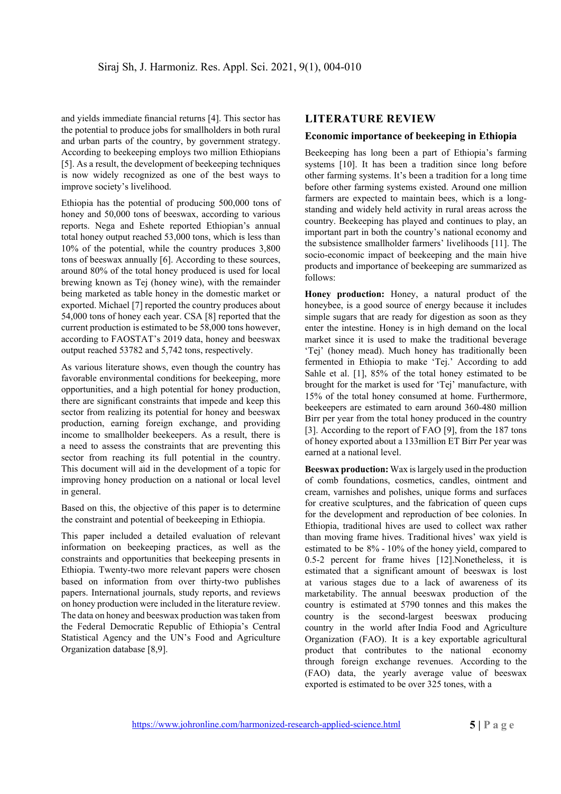and yields immediate financial returns [4]. This sector has the potential to produce jobs for smallholders in both rural and urban parts of the country, by government strategy. According to beekeeping employs two million Ethiopians [5]. As a result, the development of beekeeping techniques is now widely recognized as one of the best ways to improve society's livelihood.

Ethiopia has the potential of producing 500,000 tons of honey and 50,000 tons of beeswax, according to various reports. Nega and Eshete reported Ethiopian's annual total honey output reached 53,000 tons, which is less than 10% of the potential, while the country produces 3,800 tons of beeswax annually [6]. According to these sources, around 80% of the total honey produced is used for local brewing known as Tej (honey wine), with the remainder being marketed as table honey in the domestic market or exported. Michael [7] reported the country produces about 54,000 tons of honey each year. CSA [8] reported that the current production is estimated to be 58,000 tons however, according to FAOSTAT's 2019 data, honey and beeswax output reached 53782 and 5,742 tons, respectively.

As various literature shows, even though the country has favorable environmental conditions for beekeeping, more opportunities, and a high potential for honey production, there are significant constraints that impede and keep this sector from realizing its potential for honey and beeswax production, earning foreign exchange, and providing income to smallholder beekeepers. As a result, there is a need to assess the constraints that are preventing this sector from reaching its full potential in the country. This document will aid in the development of a topic for improving honey production on a national or local level in general.

Based on this, the objective of this paper is to determine the constraint and potential of beekeeping in Ethiopia.

This paper included a detailed evaluation of relevant information on beekeeping practices, as well as the constraints and opportunities that beekeeping presents in Ethiopia. Twenty-two more relevant papers were chosen based on information from over thirty-two publishes papers. International journals, study reports, and reviews on honey production were included in the literature review. The data on honey and beeswax production was taken from the Federal Democratic Republic of Ethiopia's Central Statistical Agency and the UN's Food and Agriculture Organization database [8,9].

## **LITERATURE REVIEW**

### **Economic importance of beekeeping in Ethiopia**

Beekeeping has long been a part of Ethiopia's farming systems [10]. It has been a tradition since long before other farming systems. It's been a tradition for a long time before other farming systems existed. Around one million farmers are expected to maintain bees, which is a longstanding and widely held activity in rural areas across the country. Beekeeping has played and continues to play, an important part in both the country's national economy and the subsistence smallholder farmers' livelihoods [11]. The socio-economic impact of beekeeping and the main hive products and importance of beekeeping are summarized as follows:

**Honey production:** Honey, a natural product of the honeybee, is a good source of energy because it includes simple sugars that are ready for digestion as soon as they enter the intestine. Honey is in high demand on the local market since it is used to make the traditional beverage 'Tej' (honey mead). Much honey has traditionally been fermented in Ethiopia to make 'Tej.' According to add Sahle et al. [1], 85% of the total honey estimated to be brought for the market is used for 'Tej' manufacture, with 15% of the total honey consumed at home. Furthermore, beekeepers are estimated to earn around 360-480 million Birr per year from the total honey produced in the country [3]. According to the report of FAO [9], from the 187 tons of honey exported about a 133million ET Birr Per year was earned at a national level.

**Beeswax production:** Wax is largely used in the production of comb foundations, cosmetics, candles, ointment and cream, varnishes and polishes, unique forms and surfaces for creative sculptures, and the fabrication of queen cups for the development and reproduction of bee colonies. In Ethiopia, traditional hives are used to collect wax rather than moving frame hives. Traditional hives' wax yield is estimated to be 8% - 10% of the honey yield, compared to 0.5-2 percent for frame hives [12].Nonetheless, it is estimated that a significant amount of beeswax is lost at various stages due to a lack of awareness of its marketability. The annual beeswax production of the country is estimated at 5790 tonnes and this makes the country is the second-largest beeswax producing country in the world after India Food and Agriculture Organization (FAO). It is a key exportable agricultural product that contributes to the national economy through foreign exchange revenues. According to the (FAO) data, the yearly average value of beeswax exported is estimated to be over 325 tones, with a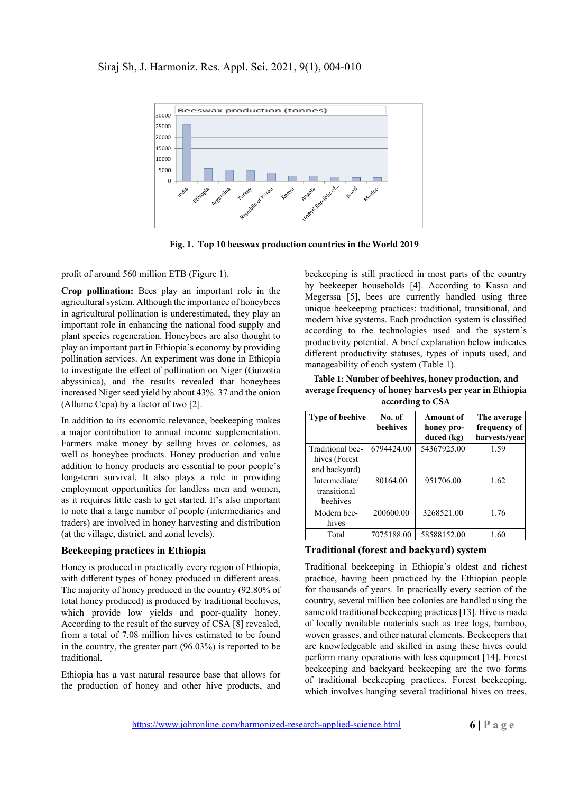## Siraj Sh, J. Harmoniz. Res. Appl. Sci. 2021, 9(1), 004-010



**Fig. 1. Top 10 beeswax production countries in the World 2019**

profit of around 560 million ETB (Figure 1).

**Crop pollination:** Bees play an important role in the agricultural system. Although the importance of honeybees in agricultural pollination is underestimated, they play an important role in enhancing the national food supply and plant species regeneration. Honeybees are also thought to play an important part in Ethiopia's economy by providing pollination services. An experiment was done in Ethiopia to investigate the effect of pollination on Niger (Guizotia abyssinica), and the results revealed that honeybees increased Niger seed yield by about 43%. 37 and the onion (Allume Cepa) by a factor of two [2].

In addition to its economic relevance, beekeeping makes a major contribution to annual income supplementation. Farmers make money by selling hives or colonies, as well as honeybee products. Honey production and value addition to honey products are essential to poor people's long-term survival. It also plays a role in providing employment opportunities for landless men and women, as it requires little cash to get started. It's also important to note that a large number of people (intermediaries and traders) are involved in honey harvesting and distribution (at the village, district, and zonal levels).

#### **Beekeeping practices in Ethiopia**

Honey is produced in practically every region of Ethiopia, with different types of honey produced in different areas. The majority of honey produced in the country (92.80% of total honey produced) is produced by traditional beehives, which provide low yields and poor-quality honey. According to the result of the survey of CSA [8] revealed, from a total of 7.08 million hives estimated to be found in the country, the greater part (96.03%) is reported to be traditional.

Ethiopia has a vast natural resource base that allows for the production of honey and other hive products, and

beekeeping is still practiced in most parts of the country by beekeeper households [4]. According to Kassa and Megerssa [5], bees are currently handled using three unique beekeeping practices: traditional, transitional, and modern hive systems. Each production system is classified according to the technologies used and the system's productivity potential. A brief explanation below indicates different productivity statuses, types of inputs used, and manageability of each system (Table 1).

**Table 1: Number of beehives, honey production, and average frequency of honey harvests per year in Ethiopia according to CSA**

| <b>Type of beehive</b>                    | No. of<br><b>beehives</b> | Amount of<br>honey pro-   | The average<br>frequency of<br>harvests/year |
|-------------------------------------------|---------------------------|---------------------------|----------------------------------------------|
| Traditional bee-                          | 6794424.00                | duced (kg)<br>54367925.00 | 1.59                                         |
| hives (Forest<br>and backyard)            |                           |                           |                                              |
| Intermediate/<br>transitional<br>beehives | 80164.00                  | 951706.00                 | 1.62                                         |
| Modern bee-<br>hives                      | 200600.00                 | 3268521.00                | 1.76                                         |
| Total                                     | 7075188.00                | 58588152.00               | 1.60                                         |

### **Traditional (forest and backyard) system**

Traditional beekeeping in Ethiopia's oldest and richest practice, having been practiced by the Ethiopian people for thousands of years. In practically every section of the country, several million bee colonies are handled using the same old traditional beekeeping practices [13]. Hive is made of locally available materials such as tree logs, bamboo, woven grasses, and other natural elements. Beekeepers that are knowledgeable and skilled in using these hives could perform many operations with less equipment [14]. Forest beekeeping and backyard beekeeping are the two forms of traditional beekeeping practices. Forest beekeeping, which involves hanging several traditional hives on trees,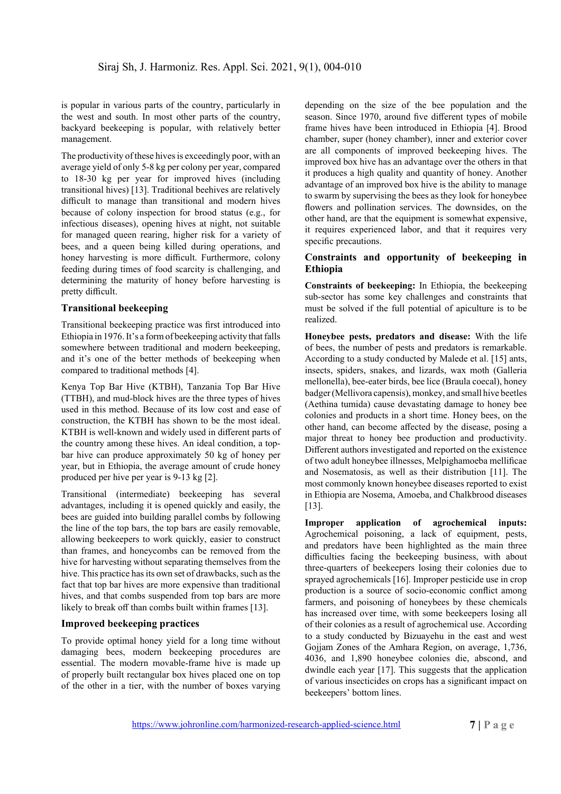is popular in various parts of the country, particularly in the west and south. In most other parts of the country, backyard beekeeping is popular, with relatively better management.

The productivity of these hives is exceedingly poor, with an average yield of only 5-8 kg per colony per year, compared to 18-30 kg per year for improved hives (including transitional hives) [13]. Traditional beehives are relatively difficult to manage than transitional and modern hives because of colony inspection for brood status (e.g., for infectious diseases), opening hives at night, not suitable for managed queen rearing, higher risk for a variety of bees, and a queen being killed during operations, and honey harvesting is more difficult. Furthermore, colony feeding during times of food scarcity is challenging, and determining the maturity of honey before harvesting is pretty difficult.

#### **Transitional beekeeping**

Transitional beekeeping practice was first introduced into Ethiopia in 1976. It's a form of beekeeping activity that falls somewhere between traditional and modern beekeeping, and it's one of the better methods of beekeeping when compared to traditional methods [4].

Kenya Top Bar Hive (KTBH), Tanzania Top Bar Hive (TTBH), and mud-block hives are the three types of hives used in this method. Because of its low cost and ease of construction, the KTBH has shown to be the most ideal. KTBH is well-known and widely used in different parts of the country among these hives. An ideal condition, a topbar hive can produce approximately 50 kg of honey per year, but in Ethiopia, the average amount of crude honey produced per hive per year is 9-13 kg [2].

Transitional (intermediate) beekeeping has several advantages, including it is opened quickly and easily, the bees are guided into building parallel combs by following the line of the top bars, the top bars are easily removable, allowing beekeepers to work quickly, easier to construct than frames, and honeycombs can be removed from the hive for harvesting without separating themselves from the hive. This practice has its own set of drawbacks, such as the fact that top bar hives are more expensive than traditional hives, and that combs suspended from top bars are more likely to break off than combs built within frames [13].

#### **Improved beekeeping practices**

To provide optimal honey yield for a long time without damaging bees, modern beekeeping procedures are essential. The modern movable-frame hive is made up of properly built rectangular box hives placed one on top of the other in a tier, with the number of boxes varying

depending on the size of the bee population and the season. Since 1970, around five different types of mobile frame hives have been introduced in Ethiopia [4]. Brood chamber, super (honey chamber), inner and exterior cover are all components of improved beekeeping hives. The improved box hive has an advantage over the others in that it produces a high quality and quantity of honey. Another advantage of an improved box hive is the ability to manage to swarm by supervising the bees as they look for honeybee flowers and pollination services. The downsides, on the other hand, are that the equipment is somewhat expensive, it requires experienced labor, and that it requires very specific precautions.

#### **Constraints and opportunity of beekeeping in Ethiopia**

**Constraints of beekeeping:** In Ethiopia, the beekeeping sub-sector has some key challenges and constraints that must be solved if the full potential of apiculture is to be realized.

**Honeybee pests, predators and disease:** With the life of bees, the number of pests and predators is remarkable. According to a study conducted by Malede et al. [15] ants, insects, spiders, snakes, and lizards, wax moth (Galleria mellonella), bee-eater birds, bee lice (Braula coecal), honey badger (Mellivora capensis), monkey, and small hive beetles (Aethina tumida) cause devastating damage to honey bee colonies and products in a short time. Honey bees, on the other hand, can become affected by the disease, posing a major threat to honey bee production and productivity. Different authors investigated and reported on the existence of two adult honeybee illnesses, Melpighamoeba mellificae and Nosematosis, as well as their distribution [11]. The most commonly known honeybee diseases reported to exist in Ethiopia are Nosema, Amoeba, and Chalkbrood diseases [13].

**Improper application of agrochemical inputs:**  Agrochemical poisoning, a lack of equipment, pests, and predators have been highlighted as the main three difficulties facing the beekeeping business, with about three-quarters of beekeepers losing their colonies due to sprayed agrochemicals [16]. Improper pesticide use in crop production is a source of socio-economic conflict among farmers, and poisoning of honeybees by these chemicals has increased over time, with some beekeepers losing all of their colonies as a result of agrochemical use. According to a study conducted by Bizuayehu in the east and west Gojjam Zones of the Amhara Region, on average, 1,736, 4036, and 1,890 honeybee colonies die, abscond, and dwindle each year [17]. This suggests that the application of various insecticides on crops has a significant impact on beekeepers' bottom lines.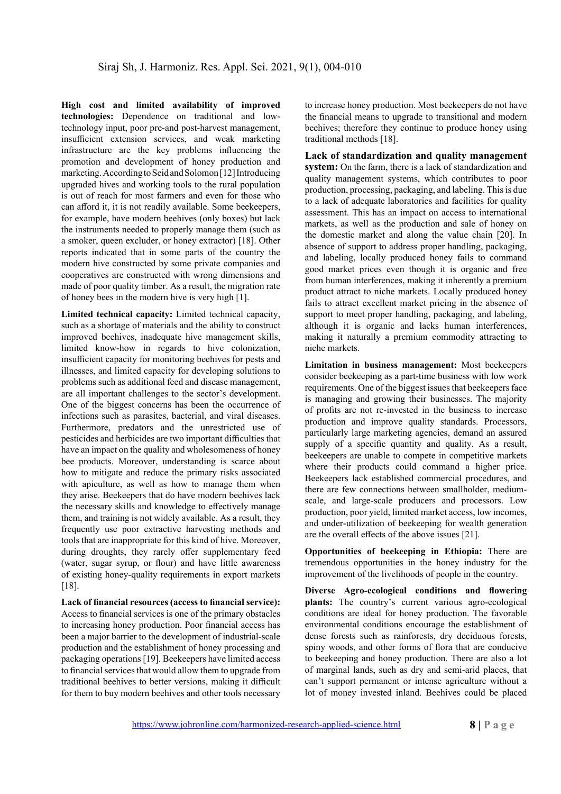**High cost and limited availability of improved technologies:** Dependence on traditional and lowtechnology input, poor pre-and post-harvest management, insufficient extension services, and weak marketing infrastructure are the key problems influencing the promotion and development of honey production and marketing. According to Seid and Solomon [12] Introducing upgraded hives and working tools to the rural population is out of reach for most farmers and even for those who can afford it, it is not readily available. Some beekeepers, for example, have modern beehives (only boxes) but lack the instruments needed to properly manage them (such as a smoker, queen excluder, or honey extractor) [18]. Other reports indicated that in some parts of the country the modern hive constructed by some private companies and cooperatives are constructed with wrong dimensions and made of poor quality timber. As a result, the migration rate of honey bees in the modern hive is very high [1].

**Limited technical capacity:** Limited technical capacity, such as a shortage of materials and the ability to construct improved beehives, inadequate hive management skills, limited know-how in regards to hive colonization, insufficient capacity for monitoring beehives for pests and illnesses, and limited capacity for developing solutions to problems such as additional feed and disease management, are all important challenges to the sector's development. One of the biggest concerns has been the occurrence of infections such as parasites, bacterial, and viral diseases. Furthermore, predators and the unrestricted use of pesticides and herbicides are two important difficulties that have an impact on the quality and wholesomeness of honey bee products. Moreover, understanding is scarce about how to mitigate and reduce the primary risks associated with apiculture, as well as how to manage them when they arise. Beekeepers that do have modern beehives lack the necessary skills and knowledge to effectively manage them, and training is not widely available. As a result, they frequently use poor extractive harvesting methods and tools that are inappropriate for this kind of hive. Moreover, during droughts, they rarely offer supplementary feed (water, sugar syrup, or flour) and have little awareness of existing honey-quality requirements in export markets [18].

**Lack of financial resources (access to financial service):**  Access to financial services is one of the primary obstacles to increasing honey production. Poor financial access has been a major barrier to the development of industrial-scale production and the establishment of honey processing and packaging operations [19]. Beekeepers have limited access to financial services that would allow them to upgrade from traditional beehives to better versions, making it difficult for them to buy modern beehives and other tools necessary

to increase honey production. Most beekeepers do not have the financial means to upgrade to transitional and modern beehives; therefore they continue to produce honey using traditional methods [18].

**Lack of standardization and quality management system:** On the farm, there is a lack of standardization and quality management systems, which contributes to poor production, processing, packaging, and labeling. This is due to a lack of adequate laboratories and facilities for quality assessment. This has an impact on access to international markets, as well as the production and sale of honey on the domestic market and along the value chain [20]. In absence of support to address proper handling, packaging, and labeling, locally produced honey fails to command good market prices even though it is organic and free from human interferences, making it inherently a premium product attract to niche markets. Locally produced honey fails to attract excellent market pricing in the absence of support to meet proper handling, packaging, and labeling, although it is organic and lacks human interferences, making it naturally a premium commodity attracting to niche markets.

**Limitation in business management:** Most beekeepers consider beekeeping as a part-time business with low work requirements. One of the biggest issues that beekeepers face is managing and growing their businesses. The majority of profits are not re-invested in the business to increase production and improve quality standards. Processors, particularly large marketing agencies, demand an assured supply of a specific quantity and quality. As a result, beekeepers are unable to compete in competitive markets where their products could command a higher price. Beekeepers lack established commercial procedures, and there are few connections between smallholder, mediumscale, and large-scale producers and processors. Low production, poor yield, limited market access, low incomes, and under-utilization of beekeeping for wealth generation are the overall effects of the above issues [21].

**Opportunities of beekeeping in Ethiopia:** There are tremendous opportunities in the honey industry for the improvement of the livelihoods of people in the country.

**Diverse Agro-ecological conditions and flowering plants:** The country's current various agro-ecological conditions are ideal for honey production. The favorable environmental conditions encourage the establishment of dense forests such as rainforests, dry deciduous forests, spiny woods, and other forms of flora that are conducive to beekeeping and honey production. There are also a lot of marginal lands, such as dry and semi-arid places, that can't support permanent or intense agriculture without a lot of money invested inland. Beehives could be placed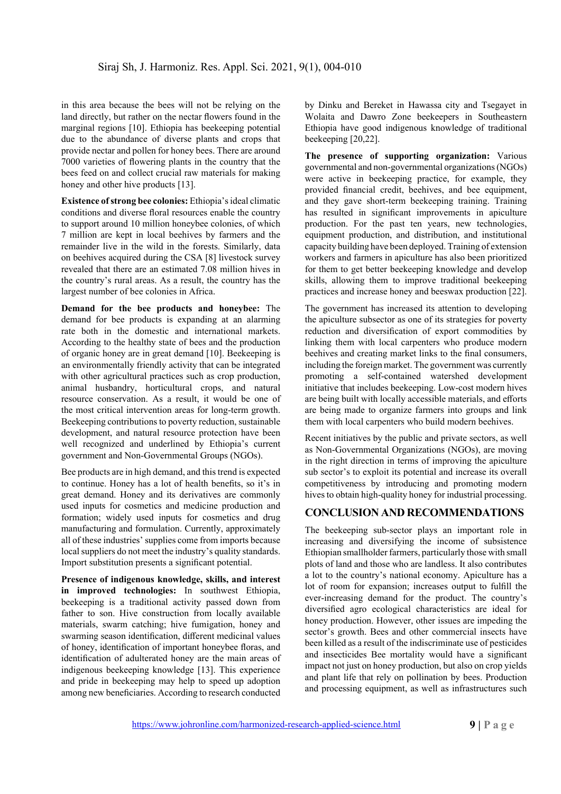in this area because the bees will not be relying on the land directly, but rather on the nectar flowers found in the marginal regions [10]. Ethiopia has beekeeping potential due to the abundance of diverse plants and crops that provide nectar and pollen for honey bees. There are around 7000 varieties of flowering plants in the country that the bees feed on and collect crucial raw materials for making honey and other hive products [13].

**Existence of strong bee colonies:** Ethiopia's ideal climatic conditions and diverse floral resources enable the country to support around 10 million honeybee colonies, of which 7 million are kept in local beehives by farmers and the remainder live in the wild in the forests. Similarly, data on beehives acquired during the CSA [8] livestock survey revealed that there are an estimated 7.08 million hives in the country's rural areas. As a result, the country has the largest number of bee colonies in Africa.

**Demand for the bee products and honeybee:** The demand for bee products is expanding at an alarming rate both in the domestic and international markets. According to the healthy state of bees and the production of organic honey are in great demand [10]. Beekeeping is an environmentally friendly activity that can be integrated with other agricultural practices such as crop production, animal husbandry, horticultural crops, and natural resource conservation. As a result, it would be one of the most critical intervention areas for long-term growth. Beekeeping contributions to poverty reduction, sustainable development, and natural resource protection have been well recognized and underlined by Ethiopia's current government and Non-Governmental Groups (NGOs).

Bee products are in high demand, and this trend is expected to continue. Honey has a lot of health benefits, so it's in great demand. Honey and its derivatives are commonly used inputs for cosmetics and medicine production and formation; widely used inputs for cosmetics and drug manufacturing and formulation. Currently, approximately all of these industries' supplies come from imports because local suppliers do not meet the industry's quality standards. Import substitution presents a significant potential.

**Presence of indigenous knowledge, skills, and interest in improved technologies:** In southwest Ethiopia, beekeeping is a traditional activity passed down from father to son. Hive construction from locally available materials, swarm catching; hive fumigation, honey and swarming season identification, different medicinal values of honey, identification of important honeybee floras, and identification of adulterated honey are the main areas of indigenous beekeeping knowledge [13]. This experience and pride in beekeeping may help to speed up adoption among new beneficiaries. According to research conducted

by Dinku and Bereket in Hawassa city and Tsegayet in Wolaita and Dawro Zone beekeepers in Southeastern Ethiopia have good indigenous knowledge of traditional beekeeping [20,22].

**The presence of supporting organization:** Various governmental and non-governmental organizations (NGOs) were active in beekeeping practice, for example, they provided financial credit, beehives, and bee equipment, and they gave short-term beekeeping training. Training has resulted in significant improvements in apiculture production. For the past ten years, new technologies, equipment production, and distribution, and institutional capacity building have been deployed. Training of extension workers and farmers in apiculture has also been prioritized for them to get better beekeeping knowledge and develop skills, allowing them to improve traditional beekeeping practices and increase honey and beeswax production [22].

The government has increased its attention to developing the apiculture subsector as one of its strategies for poverty reduction and diversification of export commodities by linking them with local carpenters who produce modern beehives and creating market links to the final consumers, including the foreign market. The government was currently promoting a self-contained watershed development initiative that includes beekeeping. Low-cost modern hives are being built with locally accessible materials, and efforts are being made to organize farmers into groups and link them with local carpenters who build modern beehives.

Recent initiatives by the public and private sectors, as well as Non-Governmental Organizations (NGOs), are moving in the right direction in terms of improving the apiculture sub sector's to exploit its potential and increase its overall competitiveness by introducing and promoting modern hives to obtain high-quality honey for industrial processing.

## **CONCLUSION AND RECOMMENDATIONS**

The beekeeping sub-sector plays an important role in increasing and diversifying the income of subsistence Ethiopian smallholder farmers, particularly those with small plots of land and those who are landless. It also contributes a lot to the country's national economy. Apiculture has a lot of room for expansion; increases output to fulfill the ever-increasing demand for the product. The country's diversified agro ecological characteristics are ideal for honey production. However, other issues are impeding the sector's growth. Bees and other commercial insects have been killed as a result of the indiscriminate use of pesticides and insecticides Bee mortality would have a significant impact not just on honey production, but also on crop yields and plant life that rely on pollination by bees. Production and processing equipment, as well as infrastructures such